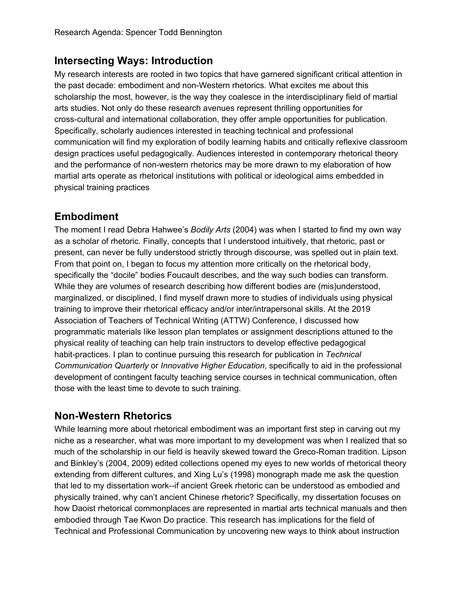### **Intersecting Ways: Introduction**

My research interests are rooted in two topics that have garnered significant critical attention in the past decade: embodiment and non-Western rhetorics. What excites me about this scholarship the most, however, is the way they coalesce in the interdisciplinary field of martial arts studies. Not only do these research avenues represent thrilling opportunities for cross-cultural and international collaboration, they offer ample opportunities for publication. Specifically, scholarly audiences interested in teaching technical and professional communication will find my exploration of bodily learning habits and critically reflexive classroom design practices useful pedagogically. Audiences interested in contemporary rhetorical theory and the performance of non-western rhetorics may be more drawn to my elaboration of how martial arts operate as rhetorical institutions with political or ideological aims embedded in physical training practices

#### **Embodiment**

The moment I read Debra Hahwee's *Bodily Arts* (2004) was when I started to find my own way as a scholar of rhetoric. Finally, concepts that I understood intuitively, that rhetoric, past or present, can never be fully understood strictly through discourse, was spelled out in plain text. From that point on, I began to focus my attention more critically on the rhetorical body, specifically the "docile" bodies Foucault describes, and the way such bodies can transform. While they are volumes of research describing how different bodies are (mis)understood, marginalized, or disciplined, I find myself drawn more to studies of individuals using physical training to improve their rhetorical efficacy and/or inter/intrapersonal skills. At the 2019 Association of Teachers of Technical Writing (ATTW) Conference, I discussed how programmatic materials like lesson plan templates or assignment descriptions attuned to the physical reality of teaching can help train instructors to develop effective pedagogical habit-practices. I plan to continue pursuing this research for publication in *Technical Communication Quarterly* or *Innovative Higher Education*, specifically to aid in the professional development of contingent faculty teaching service courses in technical communication, often those with the least time to devote to such training.

### **Non-Western Rhetorics**

While learning more about rhetorical embodiment was an important first step in carving out my niche as a researcher, what was more important to my development was when I realized that so much of the scholarship in our field is heavily skewed toward the Greco-Roman tradition. Lipson and Binkley's (2004, 2009) edited collections opened my eyes to new worlds of rhetorical theory extending from different cultures, and Xing Lu's (1998) monograph made me ask the question that led to my dissertation work--if ancient Greek rhetoric can be understood as embodied and physically trained, why can't ancient Chinese rhetoric? Specifically, my dissertation focuses on how Daoist rhetorical commonplaces are represented in martial arts technical manuals and then embodied through Tae Kwon Do practice. This research has implications for the field of Technical and Professional Communication by uncovering new ways to think about instruction